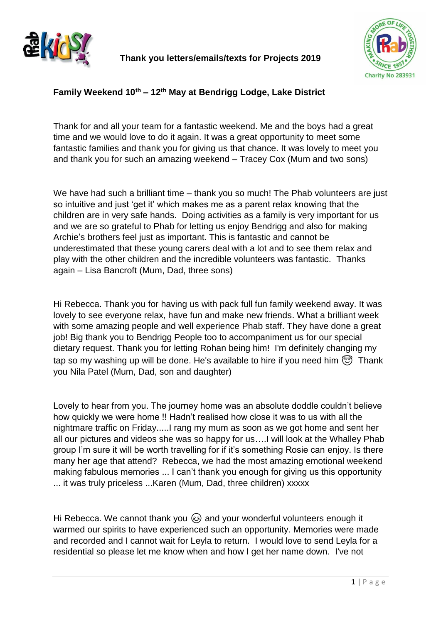

**Thank you letters/emails/texts for Projects 2019**



# **Family Weekend 10th – 12th May at Bendrigg Lodge, Lake District**

Thank for and all your team for a fantastic weekend. Me and the boys had a great time and we would love to do it again. It was a great opportunity to meet some fantastic families and thank you for giving us that chance. It was lovely to meet you and thank you for such an amazing weekend – Tracey Cox (Mum and two sons)

We have had such a brilliant time – thank you so much! The Phab volunteers are just so intuitive and just 'get it' which makes me as a parent relax knowing that the children are in very safe hands. Doing activities as a family is very important for us and we are so grateful to Phab for letting us enjoy Bendrigg and also for making Archie's brothers feel just as important. This is fantastic and cannot be underestimated that these young carers deal with a lot and to see them relax and play with the other children and the incredible volunteers was fantastic. Thanks again – Lisa Bancroft (Mum, Dad, three sons)

Hi Rebecca. Thank you for having us with pack full fun family weekend away. It was lovely to see everyone relax, have fun and make new friends. What a brilliant week with some amazing people and well experience Phab staff. They have done a great job! Big thank you to Bendrigg People too to accompaniment us for our special dietary request. Thank you for letting Rohan being him! I'm definitely changing my tap so my washing up will be done. He's available to hire if you need him  $\circled{r}$  Thank you Nila Patel (Mum, Dad, son and daughter)

Lovely to hear from you. The journey home was an absolute doddle couldn't believe how quickly we were home !! Hadn't realised how close it was to us with all the nightmare traffic on Friday.....I rang my mum as soon as we got home and sent her all our pictures and videos she was so happy for us….I will look at the Whalley Phab group I'm sure it will be worth travelling for if it's something Rosie can enjoy. Is there many her age that attend? Rebecca, we had the most amazing emotional weekend making fabulous memories ... I can't thank you enough for giving us this opportunity ... it was truly priceless ...Karen (Mum, Dad, three children) xxxxx

Hi Rebecca. We cannot thank you  $\odot$  and your wonderful volunteers enough it warmed our spirits to have experienced such an opportunity. Memories were made and recorded and I cannot wait for Leyla to return. I would love to send Leyla for a residential so please let me know when and how I get her name down. I've not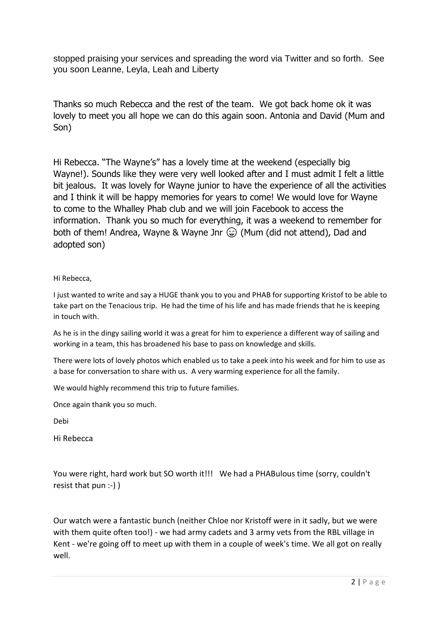stopped praising your services and spreading the word via Twitter and so forth. See you soon Leanne, Leyla, Leah and Liberty

Thanks so much Rebecca and the rest of the team. We got back home ok it was lovely to meet you all hope we can do this again soon. Antonia and David (Mum and Son)

Hi Rebecca. "The Wayne's" has a lovely time at the weekend (especially big Wayne!). Sounds like they were very well looked after and I must admit I felt a little bit jealous. It was lovely for Wayne junior to have the experience of all the activities and I think it will be happy memories for years to come! We would love for Wayne to come to the Whalley Phab club and we will join Facebook to access the information. Thank you so much for everything, it was a weekend to remember for both of them! Andrea, Wayne & Wayne Jnr  $\mathcal{C}$  (Mum (did not attend), Dad and adopted son)

## Hi Rebecca,

I just wanted to write and say a HUGE thank you to you and PHAB for supporting Kristof to be able to take part on the Tenacious trip. He had the time of his life and has made friends that he is keeping in touch with.

As he is in the dingy sailing world it was a great for him to experience a different way of sailing and working in a team, this has broadened his base to pass on knowledge and skills.

There were lots of lovely photos which enabled us to take a peek into his week and for him to use as a base for conversation to share with us. A very warming experience for all the family.

We would highly recommend this trip to future families.

Once again thank you so much.

Debi

Hi Rebecca

You were right, hard work but SO worth it!!! We had a PHABulous time (sorry, couldn't resist that pun :-) )

Our watch were a fantastic bunch (neither Chloe nor Kristoff were in it sadly, but we were with them quite often too!) - we had army cadets and 3 army vets from the RBL village in Kent - we're going off to meet up with them in a couple of week's time. We all got on really well.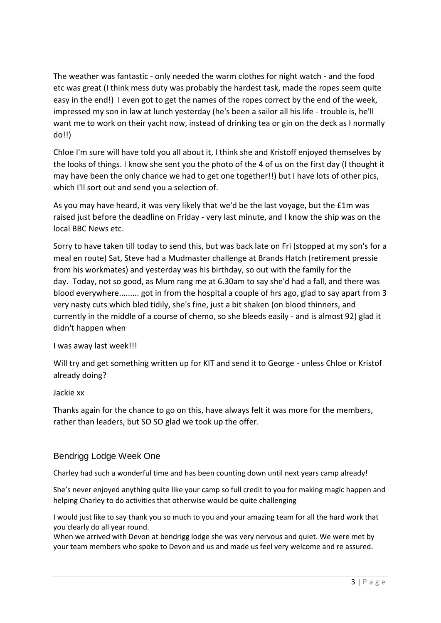The weather was fantastic - only needed the warm clothes for night watch - and the food etc was great (I think mess duty was probably the hardest task, made the ropes seem quite easy in the end!) I even got to get the names of the ropes correct by the end of the week, impressed my son in law at lunch yesterday (he's been a sailor all his life - trouble is, he'll want me to work on their yacht now, instead of drinking tea or gin on the deck as I normally do!!)

Chloe I'm sure will have told you all about it, I think she and Kristoff enjoyed themselves by the looks of things. I know she sent you the photo of the 4 of us on the first day (I thought it may have been the only chance we had to get one together!!) but I have lots of other pics, which I'll sort out and send you a selection of.

As you may have heard, it was very likely that we'd be the last voyage, but the £1m was raised just before the deadline on Friday - very last minute, and I know the ship was on the local BBC News etc.

Sorry to have taken till today to send this, but was back late on Fri (stopped at my son's for a meal en route) Sat, Steve had a Mudmaster challenge at Brands Hatch (retirement pressie from his workmates) and yesterday was his birthday, so out with the family for the day. Today, not so good, as Mum rang me at 6.30am to say she'd had a fall, and there was blood everywhere......... got in from the hospital a couple of hrs ago, glad to say apart from 3 very nasty cuts which bled tidily, she's fine, just a bit shaken (on blood thinners, and currently in the middle of a course of chemo, so she bleeds easily - and is almost 92) glad it didn't happen when

I was away last week!!!

Will try and get something written up for KIT and send it to George - unless Chloe or Kristof already doing?

Jackie xx

Thanks again for the chance to go on this, have always felt it was more for the members, rather than leaders, but SO SO glad we took up the offer.

## Bendrigg Lodge Week One

Charley had such a wonderful time and has been counting down until next years camp already!

She's never enjoyed anything quite like your camp so full credit to you for making magic happen and helping Charley to do activities that otherwise would be quite challenging

I would just like to say thank you so much to you and your amazing team for all the hard work that you clearly do all year round.

When we arrived with Devon at bendrigg lodge she was very nervous and quiet. We were met by your team members who spoke to Devon and us and made us feel very welcome and re assured.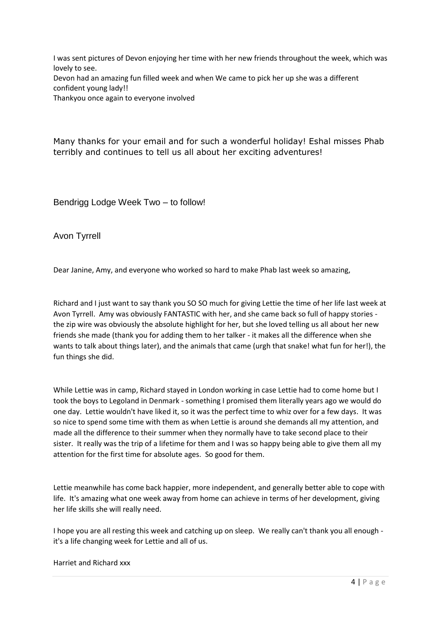I was sent pictures of Devon enjoying her time with her new friends throughout the week, which was lovely to see. Devon had an amazing fun filled week and when We came to pick her up she was a different confident young lady!!

Thankyou once again to everyone involved

Many thanks for your email and for such a wonderful holiday! Eshal misses Phab terribly and continues to tell us all about her exciting adventures!

Bendrigg Lodge Week Two – to follow!

Avon Tyrrell

Dear Janine, Amy, and everyone who worked so hard to make Phab last week so amazing,

Richard and I just want to say thank you SO SO much for giving Lettie the time of her life last week at Avon Tyrrell. Amy was obviously FANTASTIC with her, and she came back so full of happy stories the zip wire was obviously the absolute highlight for her, but she loved telling us all about her new friends she made (thank you for adding them to her talker - it makes all the difference when she wants to talk about things later), and the animals that came (urgh that snake! what fun for her!), the fun things she did.

While Lettie was in camp, Richard stayed in London working in case Lettie had to come home but I took the boys to Legoland in Denmark - something I promised them literally years ago we would do one day. Lettie wouldn't have liked it, so it was the perfect time to whiz over for a few days. It was so nice to spend some time with them as when Lettie is around she demands all my attention, and made all the difference to their summer when they normally have to take second place to their sister. It really was the trip of a lifetime for them and I was so happy being able to give them all my attention for the first time for absolute ages. So good for them.

Lettie meanwhile has come back happier, more independent, and generally better able to cope with life. It's amazing what one week away from home can achieve in terms of her development, giving her life skills she will really need.

I hope you are all resting this week and catching up on sleep. We really can't thank you all enough it's a life changing week for Lettie and all of us.

Harriet and Richard xxx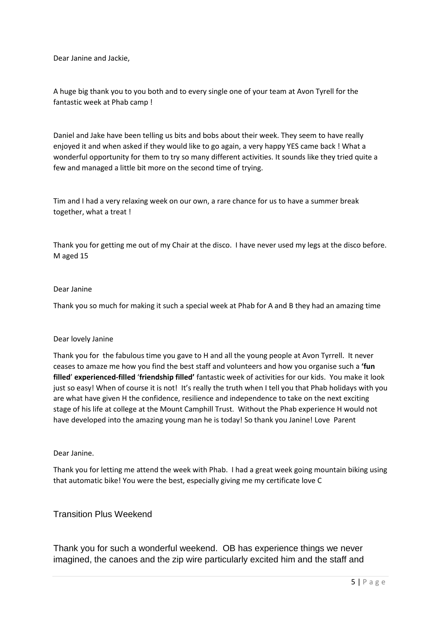Dear Janine and Jackie,

A huge big thank you to you both and to every single one of your team at Avon Tyrell for the fantastic week at Phab camp !

Daniel and Jake have been telling us bits and bobs about their week. They seem to have really enjoyed it and when asked if they would like to go again, a very happy YES came back ! What a wonderful opportunity for them to try so many different activities. It sounds like they tried quite a few and managed a little bit more on the second time of trying.

Tim and I had a very relaxing week on our own, a rare chance for us to have a summer break together, what a treat !

Thank you for getting me out of my Chair at the disco. I have never used my legs at the disco before. M aged 15

#### Dear Janine

Thank you so much for making it such a special week at Phab for A and B they had an amazing time

#### Dear lovely Janine

Thank you for the fabulous time you gave to H and all the young people at Avon Tyrrell. It never ceases to amaze me how you find the best staff and volunteers and how you organise such a **'fun filled**' **experienced-filled** '**friendship filled'** fantastic week of activities for our kids. You make it look just so easy! When of course it is not! It's really the truth when I tell you that Phab holidays with you are what have given H the confidence, resilience and independence to take on the next exciting stage of his life at college at the Mount Camphill Trust. Without the Phab experience H would not have developed into the amazing young man he is today! So thank you Janine! Love Parent

#### Dear Janine.

Thank you for letting me attend the week with Phab. I had a great week going mountain biking using that automatic bike! You were the best, especially giving me my certificate love C

## Transition Plus Weekend

Thank you for such a wonderful weekend. OB has experience things we never imagined, the canoes and the zip wire particularly excited him and the staff and